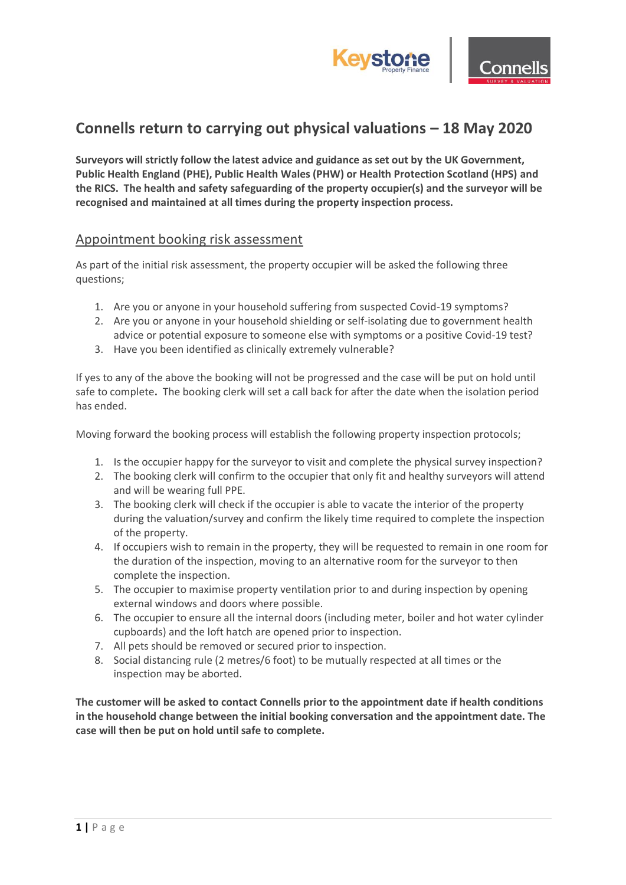



## **Connells return to carrying out physical valuations – 18 May 2020**

**Surveyors will strictly follow the latest advice and guidance as set out by the UK Government, Public Health England (PHE), Public Health Wales (PHW) or Health Protection Scotland (HPS) and the RICS. The health and safety safeguarding of the property occupier(s) and the surveyor will be recognised and maintained at all times during the property inspection process.**

## Appointment booking risk assessment

As part of the initial risk assessment, the property occupier will be asked the following three questions;

- 1. Are you or anyone in your household suffering from suspected Covid-19 symptoms?
- 2. Are you or anyone in your household shielding or self-isolating due to government health advice or potential exposure to someone else with symptoms or a positive Covid-19 test?
- 3. Have you been identified as clinically extremely vulnerable?

If yes to any of the above the booking will not be progressed and the case will be put on hold until safe to complete**.** The booking clerk will set a call back for after the date when the isolation period has ended.

Moving forward the booking process will establish the following property inspection protocols;

- 1. Is the occupier happy for the surveyor to visit and complete the physical survey inspection?
- 2. The booking clerk will confirm to the occupier that only fit and healthy surveyors will attend and will be wearing full PPE.
- 3. The booking clerk will check if the occupier is able to vacate the interior of the property during the valuation/survey and confirm the likely time required to complete the inspection of the property.
- 4. If occupiers wish to remain in the property, they will be requested to remain in one room for the duration of the inspection, moving to an alternative room for the surveyor to then complete the inspection.
- 5. The occupier to maximise property ventilation prior to and during inspection by opening external windows and doors where possible.
- 6. The occupier to ensure all the internal doors (including meter, boiler and hot water cylinder cupboards) and the loft hatch are opened prior to inspection.
- 7. All pets should be removed or secured prior to inspection.
- 8. Social distancing rule (2 metres/6 foot) to be mutually respected at all times or the inspection may be aborted.

**The customer will be asked to contact Connells prior to the appointment date if health conditions in the household change between the initial booking conversation and the appointment date. The case will then be put on hold until safe to complete.**